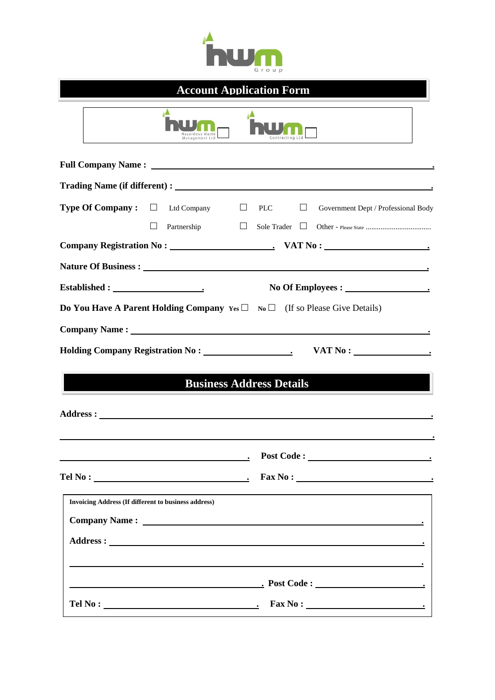

# **Account Application Form**

| azardous Waste<br>Management Ltd                                                                                                                                                                                                                                                                         |
|----------------------------------------------------------------------------------------------------------------------------------------------------------------------------------------------------------------------------------------------------------------------------------------------------------|
|                                                                                                                                                                                                                                                                                                          |
|                                                                                                                                                                                                                                                                                                          |
| <b>Type Of Company:</b> $\Box$ Ltd Company<br>$\Box$<br>$\Box$<br><b>PLC</b><br>Government Dept / Professional Body<br>$\Box$<br>Partnership<br>$\Box$<br>Sole Trader $\Box$                                                                                                                             |
|                                                                                                                                                                                                                                                                                                          |
|                                                                                                                                                                                                                                                                                                          |
| No Of Employees : 1                                                                                                                                                                                                                                                                                      |
| <b>Do You Have A Parent Holding Company</b> $Y_{es} \Box$ No $\Box$ (If so Please Give Details)                                                                                                                                                                                                          |
|                                                                                                                                                                                                                                                                                                          |
|                                                                                                                                                                                                                                                                                                          |
| <b>Business Address Details</b>                                                                                                                                                                                                                                                                          |
|                                                                                                                                                                                                                                                                                                          |
|                                                                                                                                                                                                                                                                                                          |
|                                                                                                                                                                                                                                                                                                          |
| <b>Invoicing Address (If different to business address)</b><br><b>Company Name :</b> <u>Company Name : Company Name : Company Name : Company Name : Company Name : Company Name : Company Name : Company Name : Company Name : Company Name : Company Name : Company Name : Company Name : Company N</u> |

**Address : .**

**Tel No : . Fax No : .**

 **.**

 **. Post Code : .**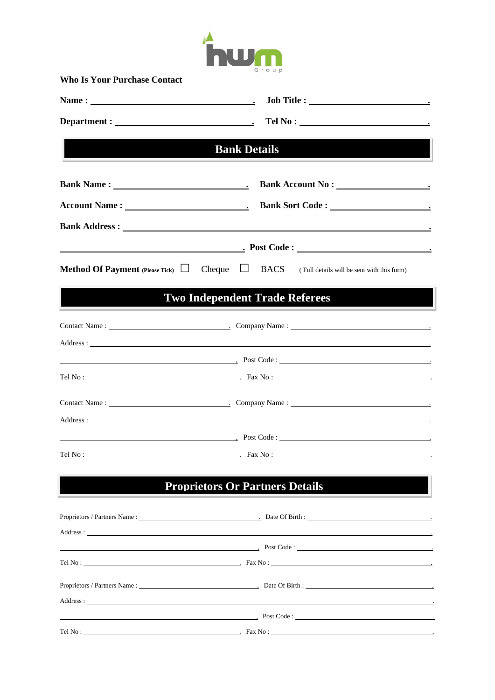

**Who Is Your Purchase Contact**

|                                                             | Tel No:                                                                                                                                                                                                                                   |
|-------------------------------------------------------------|-------------------------------------------------------------------------------------------------------------------------------------------------------------------------------------------------------------------------------------------|
|                                                             | <b>Example 2 Bank Details</b>                                                                                                                                                                                                             |
|                                                             |                                                                                                                                                                                                                                           |
|                                                             |                                                                                                                                                                                                                                           |
|                                                             |                                                                                                                                                                                                                                           |
|                                                             |                                                                                                                                                                                                                                           |
| <b>Method Of Payment</b> (Please Tick) $\Box$ Cheque $\Box$ | <b>BACS</b> (Full details will be sent with this form)                                                                                                                                                                                    |
|                                                             |                                                                                                                                                                                                                                           |
|                                                             | <b>Two Independent Trade Referees</b>                                                                                                                                                                                                     |
|                                                             | Contact Name: Company Name: Company Name: Company Name: Company Name: Company Name: Company Name: Company Name: Company Name: Company Name: Company Name: Company Name: Company Name: Company Name: Company Name: Company Name            |
|                                                             |                                                                                                                                                                                                                                           |
|                                                             | <u>Post Code</u> : <u>Andrea Code : Andrea Code : Andrea Code : Andrea Code : Andrea Code : Andrea Code : Andrea Code : Andrea Code : Andrea Code : Andrea Code : Andrea Code : Andrea Code : Andrea Code : Andrea Code : Andrea Code</u> |
|                                                             |                                                                                                                                                                                                                                           |
|                                                             |                                                                                                                                                                                                                                           |
|                                                             |                                                                                                                                                                                                                                           |
|                                                             | Post Code:                                                                                                                                                                                                                                |
|                                                             |                                                                                                                                                                                                                                           |
|                                                             | <b>Proprietors Or Partners Details</b>                                                                                                                                                                                                    |
|                                                             |                                                                                                                                                                                                                                           |
|                                                             |                                                                                                                                                                                                                                           |
|                                                             | Address: The contract of the contract of the contract of the contract of the contract of the contract of the contract of the contract of the contract of the contract of the contract of the contract of the contract of the c            |
|                                                             | Post Code:                                                                                                                                                                                                                                |
|                                                             | Tel No: $\qquad \qquad \qquad$ Fax No: $\qquad \qquad$                                                                                                                                                                                    |
|                                                             |                                                                                                                                                                                                                                           |
|                                                             | $\qquad \qquad \textbf{Post Code}:$                                                                                                                                                                                                       |
| Tel No :                                                    | $\sim$ Fax No : $\sim$ Fax No : $\sim$                                                                                                                                                                                                    |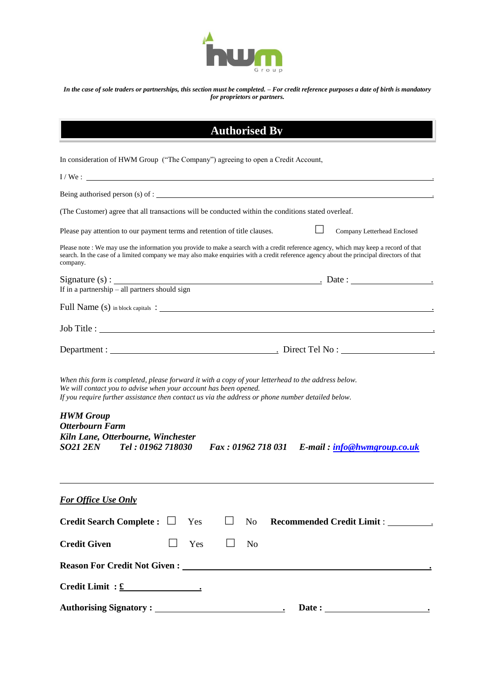

*In the case of sole traders or partnerships, this section must be completed. – For credit reference purposes a date of birth is mandatory for proprietors or partners.*

| <b>Authorised By</b>                                                                                                                                                                                                                                                                         |
|----------------------------------------------------------------------------------------------------------------------------------------------------------------------------------------------------------------------------------------------------------------------------------------------|
| In consideration of HWM Group ("The Company") agreeing to open a Credit Account,                                                                                                                                                                                                             |
| $I/We$ :                                                                                                                                                                                                                                                                                     |
| Being authorised person (s) of : $\blacksquare$                                                                                                                                                                                                                                              |
| (The Customer) agree that all transactions will be conducted within the conditions stated overleaf.                                                                                                                                                                                          |
| Please pay attention to our payment terms and retention of title clauses.<br>Company Letterhead Enclosed                                                                                                                                                                                     |
| Please note: We may use the information you provide to make a search with a credit reference agency, which may keep a record of that<br>search. In the case of a limited company we may also make enquiries with a credit reference agency about the principal directors of that<br>company. |
|                                                                                                                                                                                                                                                                                              |
|                                                                                                                                                                                                                                                                                              |
| Full Name (s) in block capitals :                                                                                                                                                                                                                                                            |
|                                                                                                                                                                                                                                                                                              |
|                                                                                                                                                                                                                                                                                              |
| When this form is completed, please forward it with a copy of your letterhead to the address below.<br>We will contact you to advise when your account has been opened.<br>If you require further assistance then contact us via the address or phone number detailed below.                 |
| <b>HWM</b> Group<br><b>Otterbourn Farm</b><br>Kiln Lane, Otterbourne, Winchester<br>Fax: 01962 718 031 E-mail: info@hwmgroup.co.uk<br>SO21 2EN Tel: 01962 718030                                                                                                                             |
| <b>For Office Use Only</b>                                                                                                                                                                                                                                                                   |
| Credit Search Complete : $\Box$<br>Yes<br>No                                                                                                                                                                                                                                                 |
| <b>Credit Given</b><br>Yes<br><b>No</b>                                                                                                                                                                                                                                                      |
|                                                                                                                                                                                                                                                                                              |
| $Credit Limit : £$ (                                                                                                                                                                                                                                                                         |
| Date:                                                                                                                                                                                                                                                                                        |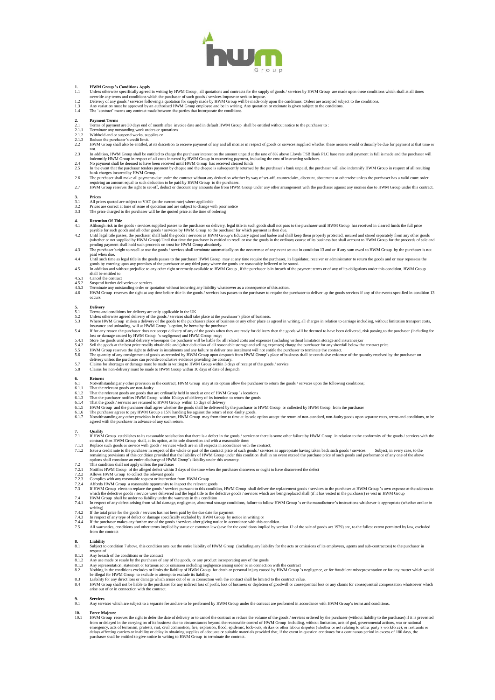

- **1. HWM Group 's Conditions Apply**<br>
1.1 Unless otherwise specifically agreed in writing by HWM Group, all quotations and contracts for the supply of goods / services by HWM Group are made upon these conditions which shal
- 
- 

- 
- 
- 
- **2.** Payment Terms<br>2.1 Terminate any others and of month after invoice date and in default HWM Group shall be entitled without notice to the purchaser to:<br>2.1.1 Terminate any outstanding work orders or quotations<br>2.1.2 Wit
- not.<br>In addition, HWM Group shall be entitled to charge the purchaser interest on the amount unpaid at the rate of 8% above Lloyds TSB Bank PLC base rate until payment in full is made and the purchaser will
- 
- 
- In addition, HWM Group shall be entitled to charge the purchaser interest on the amount unpaid at the rate of 8% above Lloyds TSB Bank PLC base rate until payment in full is made and the purchaser will<br>indeminify HWM Group

### $\frac{3}{3}$ .

- 
- 3.1 All prices quoted are subject to VAT (at the current rate) where applicable<br>3.2 Prices are correct at time of issue of quotation and are subject to change we<br>3.3 The price charged to the purchaser will be the quoted p 3.2 Prices are correct at time of issue of quotation and are subject to change with prior notice 3.3 The price charged to the purchaser will be the quoted price at the time of ordering

- 
- 4. Retention Of Title<br>All the goods / services supplied passes to the purchaser on delivery, legal title in such goods shall not pass to the purchaser until HWM Group has received in cleared funds the full price<br>Although r
- 
- 4.4 Until such time as legal title in the goods passes to the purchaser HWM Group may at any time require the purchaser, its liquidator, receiver or administrator to return the goods and or may repossess the goods by enter
- 
- 4.5.1 Cancel the contract 4.5.2 Suspend further deliveries or services
- 
- 4.5.3 Terminate any outstanding order or quotation without incurring any liability whatsoever as a consequence of this action.<br>4.6 HWM Group reserves the right at any time before title in the goods / services has passes to occurs

- 
- 
- 
- 
- 
- 
- 5.1 Delivery<br>
Terms and conditions for delivery are only applicable in the UK<br>
5.2 Unless otherwise agreed delivery of the goods / services shall take place at the purchaser's place of business.<br>
5.3 Unless other HWM Group
- 
- 

- 6. Returns<br>6.1 Notwithstanding any other provision in the contract, HWM Group may at its option allow the purchaser to return the goods / services upon the following conditions:<br>6.1.1 That the relevant goods are non-faulty
- 
- 
- 
- 
- 
- 6.1.2 That the relevant goods are goods that are ordinarily held in stock at one of HWM Group 's locations<br>6.1.3 That the purchaser notifies HWM Group within 10 days of delivery of its intention to return the goods<br>6.1.4 T

- 
- 
- 7.12 Unitly<br>The Movem establishes to its reasonable satisfaction that there is a defect in the goods / service or there is some other failure by HWM Group in relation to the conformity of the goods / services with the cont
- 7.2 This condition shall not apply unless the purchaser<br>7.2.1 Notifies HWM Group of the alleged defect within 3 days of the time when the purchaser discovers or ought to have discovered the defect<br>7.2.2 Allows HWM Group to
- 
- 
- 7.2.2 Allows HWM Group to collect the relevant goods<br>7.2.3 Complies with any reasonable request or instruction from HWM Group<br>7.24 Affords HWM Group a reasonable opportunity to inspect the relevant  $\frac{1}{2}$ <br>7.3 If HWM Gr
- 7.2.4 Affords HWM Group a reasonable opportunity to inspect the relevant goods<br>7.3 If HWM Group elects to replace the goods / services pursuant to this condition, HWM Group shall deliver the replacement goods / services to which the defective goods / service were delivered and the legal title to the defective goods / services which are being replaced shall (if it has vested in the purchaser) re vest in HWM Group<br>7.4. IN The Group shall be un
- 
- 
- 
- writing)<br>7.4.2 If the total price for the goods / services has not been paid by the due date for payment<br>7.4.3 In respect of any type of defect or damage specifically excluded by HWM Group by notice in writing or<br>7.4.4 If

### **8. Liability**

- 8.1 Subject to condition 7 above, this condition sets out the entire liability of HWM Group (including any liability for the acts or omissions of its employees, agents and sub-contractors) to the purchaser in respect of
- 
- 
- 
- 8.1.1 Any breach of the conditions or the contract<br>8.1.2 Any togens or reade by the purchaser of any of the goods, or any product incorporating any of the goods<br>8.1.3 Any representation, statement or tortuous act or omissi
- 8.4 HWM Group shall not be liable to the purchaser for any indirect loss of profit, loss of business or depletion of goodwill or consequential loss or any claims for consequential compensation whatsoever which arise out of

**9. Services** 9.1 Any services which are subject to a separate fee and are to be performed by HWM Group under the contract are performed in accordance with HWM Group's terms and conditions.

10.1 Force Majeure<br>10.1 Force Majeure eserves the right to defer the date of delivery or to cancel the contract or reduce the volume of the goods / services ordered by the purchaser (without liability to the purchaser) if